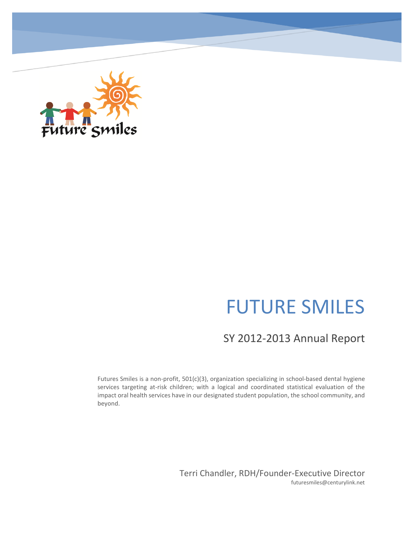

# FUTURE SMILES

## SY 2012-2013 Annual Report

Futures Smiles is a non-profit, 501(c)(3), organization specializing in school-based dental hygiene services targeting at-risk children; with a logical and coordinated statistical evaluation of the impact oral health services have in our designated student population, the school community, and beyond.

> Terri Chandler, RDH/Founder-Executive Director futuresmiles@centurylink.net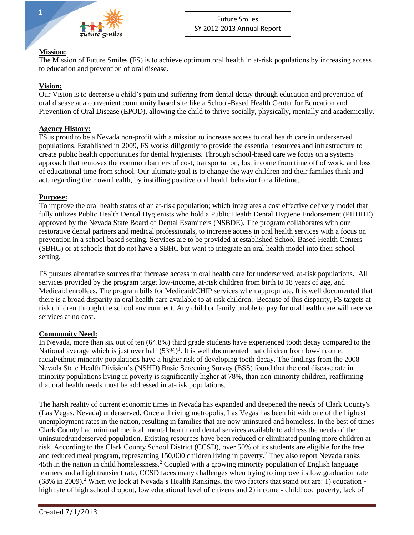

#### **Mission:**

The Mission of Future Smiles (FS) is to achieve optimum oral health in at-risk populations by increasing access to education and prevention of oral disease.

#### **Vision:**

Our Vision is to decrease a child's pain and suffering from dental decay through education and prevention of oral disease at a convenient community based site like a School-Based Health Center for Education and Prevention of Oral Disease (EPOD), allowing the child to thrive socially, physically, mentally and academically.

#### **Agency History:**

FS is proud to be a Nevada non-profit with a mission to increase access to oral health care in underserved populations. Established in 2009, FS works diligently to provide the essential resources and infrastructure to create public health opportunities for dental hygienists. Through school-based care we focus on a systems approach that removes the common barriers of cost, transportation, lost income from time off of work, and loss of educational time from school. Our ultimate goal is to change the way children and their families think and act, regarding their own health, by instilling positive oral health behavior for a lifetime.

#### **Purpose:**

To improve the oral health status of an at-risk population; which integrates a cost effective delivery model that fully utilizes Public Health Dental Hygienists who hold a Public Health Dental Hygiene Endorsement (PHDHE) approved by the Nevada State Board of Dental Examiners (NSBDE). The program collaborates with our restorative dental partners and medical professionals, to increase access in oral health services with a focus on prevention in a school-based setting. Services are to be provided at established School-Based Health Centers (SBHC) or at schools that do not have a SBHC but want to integrate an oral health model into their school setting.

FS pursues alternative sources that increase access in oral health care for underserved, at-risk populations. All services provided by the program target low-income, at-risk children from birth to 18 years of age, and Medicaid enrollees. The program bills for Medicaid/CHIP services when appropriate. It is well documented that there is a broad disparity in oral health care available to at-risk children. Because of this disparity, FS targets atrisk children through the school environment. Any child or family unable to pay for oral health care will receive services at no cost.

#### **Community Need:**

In Nevada, more than six out of ten (64.8%) third grade students have experienced tooth decay compared to the National average which is just over half  $(53%)<sup>1</sup>$ . It is well documented that children from low-income, racial/ethnic minority populations have a higher risk of developing tooth decay. The findings from the 2008 Nevada State Health Division's (NSHD) Basic Screening Survey (BSS) found that the oral disease rate in minority populations living in poverty is significantly higher at 78%, than non-minority children, reaffirming that oral health needs must be addressed in at-risk populations.<sup>1</sup>

The harsh reality of current economic times in Nevada has expanded and deepened the needs of Clark County's (Las Vegas, Nevada) underserved. Once a thriving metropolis, Las Vegas has been hit with one of the highest unemployment rates in the nation, resulting in families that are now uninsured and homeless. In the best of times Clark County had minimal medical, mental health and dental services available to address the needs of the uninsured/underserved population. Existing resources have been reduced or eliminated putting more children at risk. According to the Clark County School District (CCSD), over 50% of its students are eligible for the free and reduced meal program, representing 150,000 children living in poverty.<sup>2</sup> They also report Nevada ranks 45th in the nation in child homelessness.<sup>2</sup> Coupled with a growing minority population of English language learners and a high transient rate, CCSD faces many challenges when trying to improve its low graduation rate (68% in 2009).<sup>2</sup> When we look at Nevada's Health Rankings, the two factors that stand out are: 1) education high rate of high school dropout, low educational level of citizens and 2) income - childhood poverty, lack of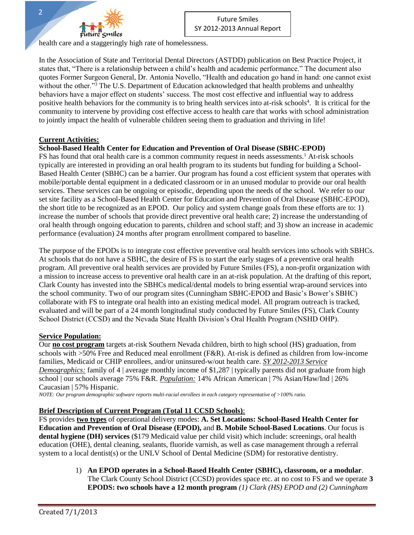

health care and a staggeringly high rate of homelessness.

In the Association of State and Territorial Dental Directors (ASTDD) publication on Best Practice Project, it states that, "There is a relationship between a child's health and academic performance." The document also quotes Former Surgeon General, Dr. Antonia Novello, "Health and education go hand in hand: one cannot exist without the other."<sup>3</sup> The U.S. Department of Education acknowledged that health problems and unhealthy behaviors have a major effect on students' success. The most cost effective and influential way to address positive health behaviors for the community is to bring health services into at-risk schools<sup>4</sup>. It is critical for the community to intervene by providing cost effective access to health care that works with school administration to jointly impact the health of vulnerable children seeing them to graduation and thriving in life!

#### **Current Activities:**

#### **School-Based Health Center for Education and Prevention of Oral Disease (SBHC-EPOD)**

FS has found that oral health care is a common community request in needs assessments.<sup>1</sup> At-risk schools typically are interested in providing an oral health program to its students but funding for building a School-Based Health Center (SBHC) can be a barrier. Our program has found a cost efficient system that operates with mobile/portable dental equipment in a dedicated classroom or in an unused modular to provide our oral health services. These services can be ongoing or episodic, depending upon the needs of the school. We refer to our set site facility as a School-Based Health Center for Education and Prevention of Oral Disease (SBHC-EPOD), the short title to be recognized as an EPOD. Our policy and system change goals from these efforts are to: 1) increase the number of schools that provide direct preventive oral health care; 2) increase the understanding of oral health through ongoing education to parents, children and school staff; and 3) show an increase in academic performance (evaluation) 24 months after program enrollment compared to baseline.

The purpose of the EPODs is to integrate cost effective preventive oral health services into schools with SBHCs. At schools that do not have a SBHC, the desire of FS is to start the early stages of a preventive oral health program. All preventive oral health services are provided by Future Smiles (FS), a non-profit organization with a mission to increase access to preventive oral health care in an at-risk population. At the drafting of this report, Clark County has invested into the SBHCs medical/dental models to bring essential wrap-around services into the school community. Two of our program sites (Cunningham SBHC-EPOD and Basic's Bower's SBHC) collaborate with FS to integrate oral health into an existing medical model. All program outreach is tracked, evaluated and will be part of a 24 month longitudinal study conducted by Future Smiles (FS), Clark County School District (CCSD) and the Nevada State Health Division's Oral Health Program (NSHD OHP).

#### **Service Population:**

Our **no cost program** targets at-risk Southern Nevada children, birth to high school (HS) graduation, from schools with >50% Free and Reduced meal enrollment (F&R). At-risk is defined as children from low-income families, Medicaid or CHIP enrollees, and/or uninsured-w/out health care. *SY 2012-2013 Service Demographics:* family of 4 | average monthly income of \$1,287 | typically parents did not graduate from high school | our schools average 75% F&R. *Population:* 14% African American | 7% Asian/Haw/Ind | 26% Caucasian | 57% Hispanic.

*NOTE: Our program demographic software reports multi-racial enrollees in each category representative of >100% ratio.*

#### **Brief Description of Current Program (Total 11 CCSD Schools)**:

FS provides **two types** of operational delivery modes: **A. Set Locations: School-Based Health Center for Education and Prevention of Oral Disease (EPOD),** and **B. Mobile School-Based Locations**. Our focus is **dental hygiene (DH) services** (\$179 Medicaid value per child visit) which include: screenings, oral health education (OHE), dental cleaning, sealants, fluoride varnish, as well as case management through a referral system to a local dentist(s) or the UNLV School of Dental Medicine (SDM) for restorative dentistry.

> 1) **An EPOD operates in a School-Based Health Center (SBHC), classroom, or a modular**. The Clark County School District (CCSD) provides space etc. at no cost to FS and we operate **3 EPODS: two schools have a 12 month program** *(1) Clark (HS) EPOD and (2) Cunningham*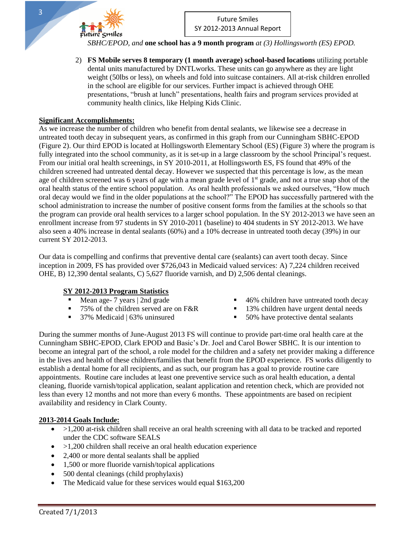*SBHC/EPOD, and* **one school has a 9 month program** *at (3) Hollingsworth (ES) EPOD.*

2) **FS Mobile serves 8 temporary (1 month average) school-based locations** utilizing portable dental units manufactured by DNTLworks. These units can go anywhere as they are light weight (50lbs or less), on wheels and fold into suitcase containers. All at-risk children enrolled in the school are eligible for our services. Further impact is achieved through OHE presentations, "brush at lunch" presentations, health fairs and program services provided at community health clinics, like Helping Kids Clinic.

#### **Significant Accomplishments:**

uture Smiles

As we increase the number of children who benefit from dental sealants, we likewise see a decrease in untreated tooth decay in subsequent years, as confirmed in this graph from our Cunningham SBHC-EPOD (Figure 2). Our third EPOD is located at Hollingsworth Elementary School (ES) (Figure 3) where the program is fully integrated into the school community, as it is set-up in a large classroom by the school Principal's request. From our initial oral health screenings, in SY 2010-2011, at Hollingsworth ES, FS found that 49% of the children screened had untreated dental decay. However we suspected that this percentage is low, as the mean age of children screened was 6 years of age with a mean grade level of 1<sup>st</sup> grade, and not a true snap shot of the oral health status of the entire school population. As oral health professionals we asked ourselves, "How much oral decay would we find in the older populations at the school?" The EPOD has successfully partnered with the school administration to increase the number of positive consent forms from the families at the schools so that the program can provide oral health services to a larger school population. In the SY 2012-2013 we have seen an enrollment increase from 97 students in SY 2010-2011 (baseline) to 404 students in SY 2012-2013. We have also seen a 40% increase in dental sealants (60%) and a 10% decrease in untreated tooth decay (39%) in our current SY 2012-2013.

Our data is compelling and confirms that preventive dental care (sealants) can avert tooth decay. Since inception in 2009, FS has provided over \$726,043 in Medicaid valued services: A) 7,224 children received OHE, B) 12,390 dental sealants, C) 5,627 fluoride varnish, and D) 2,506 dental cleanings.

#### **SY 2012-2013 Program Statistics**

- 
- 
- 
- Mean age- 7 years | 2nd grade **1988** 46% children have untreated tooth decay<br>
75% of the children served are on F&R **13%** children have urgent dental needs
	- **13% children have urgent dental needs**
- 37% Medicaid | 63% uninsured 50% have protective dental sealants

During the summer months of June-August 2013 FS will continue to provide part-time oral health care at the Cunningham SBHC-EPOD, Clark EPOD and Basic's Dr. Joel and Carol Bower SBHC. It is our intention to become an integral part of the school, a role model for the children and a safety net provider making a difference in the lives and health of these children/families that benefit from the EPOD experience. FS works diligently to establish a dental home for all recipients, and as such, our program has a goal to provide routine care appointments. Routine care includes at least one preventive service such as oral health education, a dental cleaning, fluoride varnish/topical application, sealant application and retention check, which are provided not less than every 12 months and not more than every 6 months. These appointments are based on recipient availability and residency in Clark County.

#### **2013-2014 Goals Include:**

- $\bullet$  >1,200 at-risk children shall receive an oral health screening with all data to be tracked and reported under the CDC software SEALS
- $\bullet$  >1,200 children shall receive an oral health education experience
- 2,400 or more dental sealants shall be applied
- 1,500 or more fluoride varnish/topical applications
- 500 dental cleanings (child prophylaxis)
- The Medicaid value for these services would equal \$163,200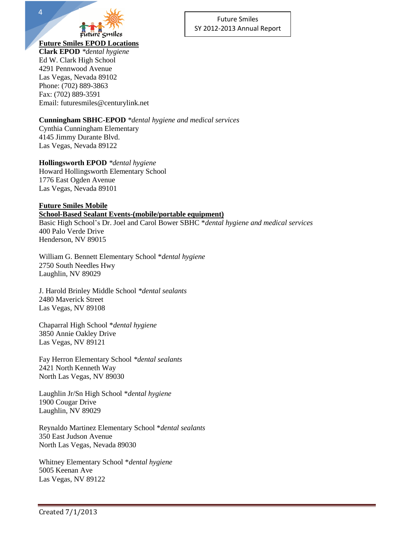

4

#### Future Smiles SY 2012-2013 Annual Report

#### **Future Smiles EPOD Locations**

**Clark EPOD** *\*dental hygiene*  Ed W. Clark High School 4291 Pennwood Avenue Las Vegas, Nevada 89102 Phone: (702) 889-3863 Fax: (702) 889-3591 Email: futuresmiles@centurylink.net

#### **Cunningham SBHC-EPOD** *\*dental hygiene and medical services*

Cynthia Cunningham Elementary 4145 Jimmy Durante Blvd. Las Vegas, Nevada 89122

**Hollingsworth EPOD** *\*dental hygiene*  Howard Hollingsworth Elementary School 1776 East Ogden Avenue Las Vegas, Nevada 89101

#### **Future Smiles Mobile School-Based Sealant Events-(mobile/portable equipment)** Basic High School's Dr. Joel and Carol Bower SBHC \**dental hygiene and medical services* 400 Palo Verde Drive Henderson, NV 89015

William G. Bennett Elementary School \**dental hygiene* 2750 South Needles Hwy Laughlin, NV 89029

J. Harold Brinley Middle School *\*dental sealants* 2480 Maverick Street Las Vegas, NV 89108

Chaparral High School \**dental hygiene* 3850 Annie Oakley Drive Las Vegas, NV 89121

Fay Herron Elementary School *\*dental sealants* 2421 North Kenneth Way North Las Vegas, NV 89030

Laughlin Jr/Sn High School \**dental hygiene* 1900 Cougar Drive Laughlin, NV 89029

Reynaldo Martinez Elementary School \**dental sealants* 350 East Judson Avenue North Las Vegas, Nevada 89030

Whitney Elementary School \**dental hygiene* 5005 Keenan Ave Las Vegas, NV 89122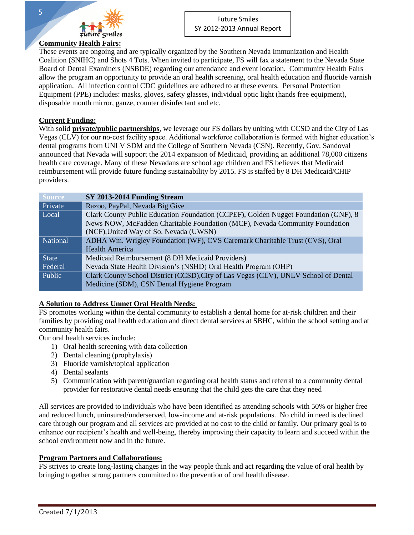

These events are ongoing and are typically organized by the Southern Nevada Immunization and Health Coalition (SNIHC) and Shots 4 Tots. When invited to participate, FS will fax a statement to the Nevada State Board of Dental Examiners (NSBDE) regarding our attendance and event location. Community Health Fairs allow the program an opportunity to provide an oral health screening, oral health education and fluoride varnish application. All infection control CDC guidelines are adhered to at these events. Personal Protection Equipment (PPE) includes: masks, gloves, safety glasses, individual optic light (hands free equipment), disposable mouth mirror, gauze, counter disinfectant and etc.

#### **Current Funding:**

With solid **private/public partnerships**, we leverage our FS dollars by uniting with CCSD and the City of Las Vegas (CLV) for our no-cost facility space. Additional workforce collaboration is formed with higher education's dental programs from UNLV SDM and the College of Southern Nevada (CSN). Recently, Gov. Sandoval announced that Nevada will support the 2014 expansion of Medicaid, providing an additional 78,000 citizens health care coverage. Many of these Nevadans are school age children and FS believes that Medicaid reimbursement will provide future funding sustainability by 2015. FS is staffed by 8 DH Medicaid/CHIP providers.

| <b>Source</b> | SY 2013-2014 Funding Stream                                                         |
|---------------|-------------------------------------------------------------------------------------|
| Private       | Razoo, PayPal, Nevada Big Give                                                      |
| Local         | Clark County Public Education Foundation (CCPEF), Golden Nugget Foundation (GNF), 8 |
|               | News NOW, McFadden Charitable Foundation (MCF), Nevada Community Foundation         |
|               | (NCF), United Way of So. Nevada (UWSN)                                              |
| National      | ADHA Wm. Wrigley Foundation (WF), CVS Caremark Charitable Trust (CVS), Oral         |
|               | <b>Health America</b>                                                               |
| <b>State</b>  | Medicaid Reimbursement (8 DH Medicaid Providers)                                    |
| Federal       | Nevada State Health Division's (NSHD) Oral Health Program (OHP)                     |
| Public        | Clark County School District (CCSD), City of Las Vegas (CLV), UNLV School of Dental |
|               | Medicine (SDM), CSN Dental Hygiene Program                                          |

#### **A Solution to Address Unmet Oral Health Needs:**

FS promotes working within the dental community to establish a dental home for at-risk children and their families by providing oral health education and direct dental services at SBHC, within the school setting and at community health fairs.

Our oral health services include:

- 1) Oral health screening with data collection
- 2) Dental cleaning (prophylaxis)
- 3) Fluoride varnish/topical application
- 4) Dental sealants
- 5) Communication with parent/guardian regarding oral health status and referral to a community dental provider for restorative dental needs ensuring that the child gets the care that they need

All services are provided to individuals who have been identified as attending schools with 50% or higher free and reduced lunch, uninsured/underserved, low-income and at-risk populations. No child in need is declined care through our program and all services are provided at no cost to the child or family. Our primary goal is to enhance our recipient's health and well-being, thereby improving their capacity to learn and succeed within the school environment now and in the future.

#### **Program Partners and Collaborations:**

FS strives to create long-lasting changes in the way people think and act regarding the value of oral health by bringing together strong partners committed to the prevention of oral health disease.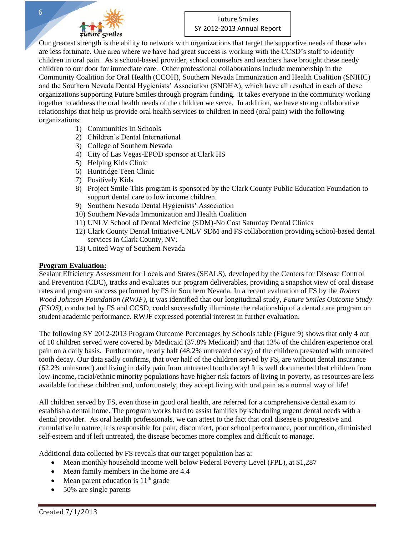

Our greatest strength is the ability to network with organizations that target the supportive needs of those who are less fortunate. One area where we have had great success is working with the CCSD's staff to identify children in oral pain. As a school-based provider, school counselors and teachers have brought these needy children to our door for immediate care. Other professional collaborations include membership in the Community Coalition for Oral Health (CCOH), Southern Nevada Immunization and Health Coalition (SNIHC) and the Southern Nevada Dental Hygienists' Association (SNDHA), which have all resulted in each of these organizations supporting Future Smiles through program funding. It takes everyone in the community working together to address the oral health needs of the children we serve. In addition, we have strong collaborative relationships that help us provide oral health services to children in need (oral pain) with the following organizations:

- 1) Communities In Schools
- 2) Children's Dental International
- 3) College of Southern Nevada
- 4) City of Las Vegas-EPOD sponsor at Clark HS
- 5) Helping Kids Clinic
- 6) Huntridge Teen Clinic
- 7) Positively Kids
- 8) Project Smile-This program is sponsored by the Clark County Public Education Foundation to support dental care to low income children.
- 9) Southern Nevada Dental Hygienists' Association
- 10) Southern Nevada Immunization and Health Coalition
- 11) UNLV School of Dental Medicine (SDM)-No Cost Saturday Dental Clinics
- 12) Clark County Dental Initiative-UNLV SDM and FS collaboration providing school-based dental services in Clark County, NV.
- 13) United Way of Southern Nevada

#### **Program Evaluation:**

Sealant Efficiency Assessment for Locals and States (SEALS), developed by the Centers for Disease Control and Prevention (CDC), tracks and evaluates our program deliverables, providing a snapshot view of oral disease rates and program success performed by FS in Southern Nevada. In a recent evaluation of FS by the *Robert Wood Johnson Foundation (RWJF)*, it was identified that our longitudinal study, *Future Smiles Outcome Study (FSOS)*, conducted by FS and CCSD, could successfully illuminate the relationship of a dental care program on student academic performance. RWJF expressed potential interest in further evaluation.

The following SY 2012-2013 Program Outcome Percentages by Schools table (Figure 9) shows that only 4 out of 10 children served were covered by Medicaid (37.8% Medicaid) and that 13% of the children experience oral pain on a daily basis. Furthermore, nearly half (48.2% untreated decay) of the children presented with untreated tooth decay. Our data sadly confirms, that over half of the children served by FS, are without dental insurance (62.2% uninsured) and living in daily pain from untreated tooth decay! It is well documented that children from low-income, racial/ethnic minority populations have higher risk factors of living in poverty, as resources are less available for these children and, unfortunately, they accept living with oral pain as a normal way of life!

All children served by FS, even those in good oral health, are referred for a comprehensive dental exam to establish a dental home. The program works hard to assist families by scheduling urgent dental needs with a dental provider. As oral health professionals, we can attest to the fact that oral disease is progressive and cumulative in nature; it is responsible for pain, discomfort, poor school performance, poor nutrition, diminished self-esteem and if left untreated, the disease becomes more complex and difficult to manage.

Additional data collected by FS reveals that our target population has a:

- Mean monthly household income well below Federal Poverty Level (FPL), at \$1,287
- Mean family members in the home are 4.4
- $\bullet$  Mean parent education is 11<sup>th</sup> grade
- 50% are single parents

6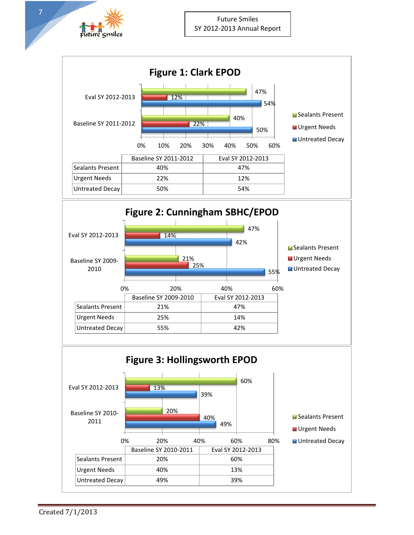

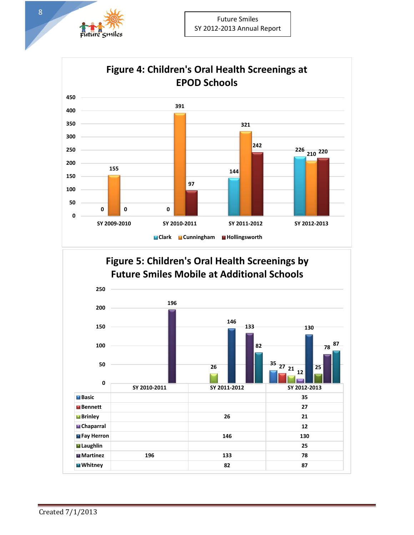



### **Figure 5: Children's Oral Health Screenings by Future Smiles Mobile at Additional Schools**

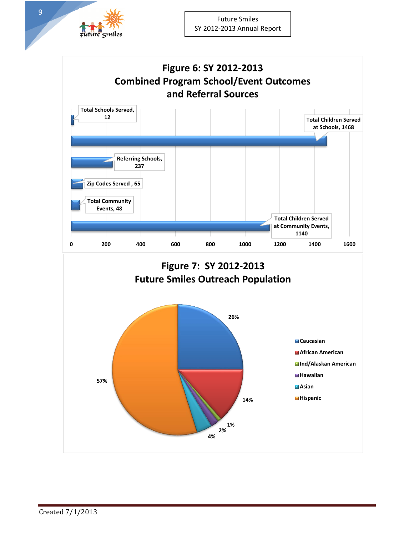

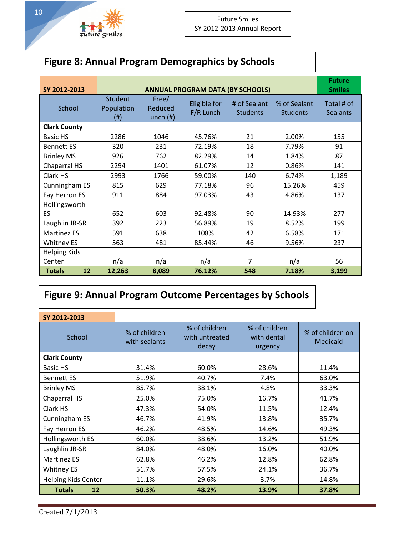# Future Smiles

| <b>Figure 8: Annual Program Demographics by Schools</b> |  |  |
|---------------------------------------------------------|--|--|
|                                                         |  |  |

| SY 2012-2013        | <b>ANNUAL PROGRAM DATA (BY SCHOOLS)</b>   |                                 |                           |                                 |                                 |                               |
|---------------------|-------------------------------------------|---------------------------------|---------------------------|---------------------------------|---------------------------------|-------------------------------|
| School              | <b>Student</b><br>Population<br>$($ # $)$ | Free/<br>Reduced<br>Lunch $(H)$ | Eligible for<br>F/R Lunch | # of Sealant<br><b>Students</b> | % of Sealant<br><b>Students</b> | Total # of<br><b>Sealants</b> |
| <b>Clark County</b> |                                           |                                 |                           |                                 |                                 |                               |
| <b>Basic HS</b>     | 2286                                      | 1046                            | 45.76%                    | 21                              | 2.00%                           | 155                           |
| <b>Bennett ES</b>   | 320                                       | 231                             | 72.19%                    | 18                              | 7.79%                           | 91                            |
| <b>Brinley MS</b>   | 926                                       | 762                             | 82.29%                    | 14                              | 1.84%                           | 87                            |
| Chaparral HS        | 2294                                      | 1401                            | 61.07%                    | 12                              | 0.86%                           | 141                           |
| Clark HS            | 2993                                      | 1766                            | 59.00%                    | 140                             | 6.74%                           | 1,189                         |
| Cunningham ES       | 815                                       | 629                             | 77.18%                    | 96                              | 15.26%                          | 459                           |
| Fay Herron ES       | 911                                       | 884                             | 97.03%                    | 43                              | 4.86%                           | 137                           |
| Hollingsworth       |                                           |                                 |                           |                                 |                                 |                               |
| ES                  | 652                                       | 603                             | 92.48%                    | 90                              | 14.93%                          | 277                           |
| Laughlin JR-SR      | 392                                       | 223                             | 56.89%                    | 19                              | 8.52%                           | 199                           |
| <b>Martinez ES</b>  | 591                                       | 638                             | 108%                      | 42                              | 6.58%                           | 171                           |
| <b>Whitney ES</b>   | 563                                       | 481                             | 85.44%                    | 46                              | 9.56%                           | 237                           |
| <b>Helping Kids</b> |                                           |                                 |                           |                                 |                                 |                               |
| Center              | n/a                                       | n/a                             | n/a                       | $\overline{7}$                  | n/a                             | 56                            |
| 12<br><b>Totals</b> | 12,263                                    | 8,089                           | 76.12%                    | 548                             | 7.18%                           | 3,199                         |

# **Figure 9: Annual Program Outcome Percentages by Schools**

| SY 2012-2013               |                                |                                          |                                         |                                     |
|----------------------------|--------------------------------|------------------------------------------|-----------------------------------------|-------------------------------------|
| School                     | % of children<br>with sealants | % of children<br>with untreated<br>decay | % of children<br>with dental<br>urgency | % of children on<br><b>Medicaid</b> |
| <b>Clark County</b>        |                                |                                          |                                         |                                     |
| Basic HS                   | 31.4%                          | 60.0%                                    | 28.6%                                   | 11.4%                               |
| <b>Bennett ES</b>          | 51.9%                          | 40.7%                                    | 7.4%                                    | 63.0%                               |
| <b>Brinley MS</b>          | 85.7%                          | 38.1%                                    | 4.8%                                    | 33.3%                               |
| Chaparral HS               | 25.0%                          | 75.0%                                    | 16.7%                                   | 41.7%                               |
| Clark HS                   | 47.3%                          | 54.0%                                    | 11.5%                                   | 12.4%                               |
| Cunningham ES              | 46.7%                          | 41.9%                                    | 13.8%                                   | 35.7%                               |
| Fay Herron ES              | 46.2%                          | 48.5%                                    | 14.6%                                   | 49.3%                               |
| Hollingsworth ES           | 60.0%                          | 38.6%                                    | 13.2%                                   | 51.9%                               |
| Laughlin JR-SR             | 84.0%                          | 48.0%                                    | 16.0%                                   | 40.0%                               |
| <b>Martinez ES</b>         | 62.8%                          | 46.2%                                    | 12.8%                                   | 62.8%                               |
| <b>Whitney ES</b>          | 51.7%                          | 57.5%                                    | 24.1%                                   | 36.7%                               |
| <b>Helping Kids Center</b> | 11.1%                          | 29.6%                                    | 3.7%                                    | 14.8%                               |
| <b>Totals</b><br>12        | 50.3%                          | 48.2%                                    | 13.9%                                   | 37.8%                               |